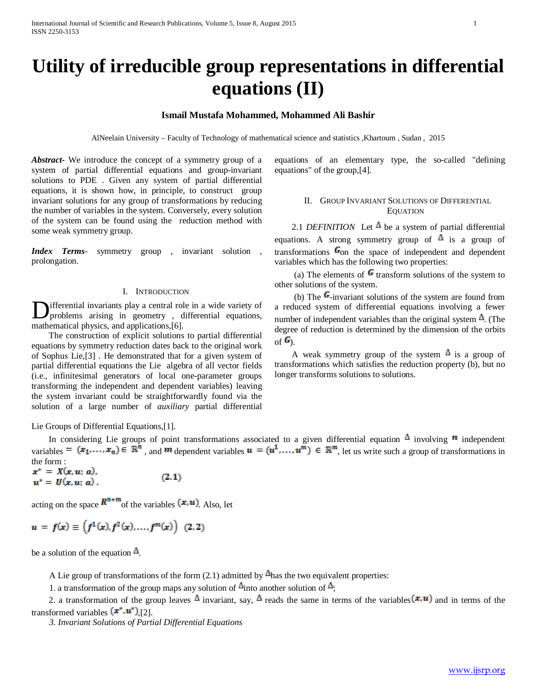# **Utility of irreducible group representations in differential equations (II)**

# **Ismail Mustafa Mohammed, Mohammed Ali Bashir**

AlNeelain University – Faculty of Technology of mathematical science and statistics ,Khartoum , Sudan , 2015

*Abstract***-** We introduce the concept of a symmetry group of a system of partial differential equations and group-invariant solutions to PDE . Given any system of partial differential equations, it is shown how, in principle, to construct group invariant solutions for any group of transformations by reducing the number of variables in the system. Conversely, every solution of the system can be found using the reduction method with some weak symmetry group.

*Index Terms*- symmetry group , invariant solution , prolongation.

### I. INTRODUCTION

ifferential invariants play a central role in a wide variety of problems arising in geometry , differential equations, **D**ifferential invariants play a central rol<br>problems arising in geometry, comathematical physics, and applications,[6].

 The construction of explicit solutions to partial differential equations by symmetry reduction dates back to the original work of Sophus Lie,[3] . He demonstrated that for a given system of partial differential equations the Lie algebra of all vector fields (i.e., infinitesimal generators of local one-parameter groups transforming the independent and dependent variables) leaving the system invariant could be straightforwardly found via the solution of a large number of *auxiliary* partial differential

Lie Groups of Differential Equations,[1].

In considering Lie groups of point transformations associated to a given differential equation  $\Delta$  involving  $\bf$ n independent variables  $=(x_1,...,x_n)\in \mathbb{R}^n$ , and  $m$  dependent variables  $u=(u^1,...,u^m)\in \mathbb{R}^m$ , let us write such a group of transformations in the form :

 $x^* = X(x, u; a)$ ,  $(2.1)$  $u^* = U(x, u; a)$ .

acting on the space  $\mathbf{R}^{n+m}$  of the variables  $(\mathbf{x}, \mathbf{u})$ . Also, let

$$
u = f(x) \equiv \left(f^{1}(x), f^{2}(x), \ldots, f^{m}(x)\right) (2.2)
$$

be a solution of the equation  $\Delta$ .

A Lie group of transformations of the form  $(2.1)$  admitted by  $\Delta$  has the two equivalent properties:

1. a transformation of the group maps any solution of  $\Delta$  into another solution of  $\Delta$ ;

2. a transformation of the group leaves  $\Delta$  invariant, say,  $\Delta$  reads the same in terms of the variables  $(x, u)$  and in terms of the transformed variables  $(x^*, u^*)$  [2].

*3. Invariant Solutions of Partial Differential Equations*

equations of an elementary type, the so-called "defining equations" of the group,[4].

## II. GROUP INVARIANT SOLUTIONS OF DIFFERENTIAL **EQUATION**

2.1 *DEFINITION* Let  $\triangle$  be a system of partial differential equations. A strong symmetry group of  $\mathbb{\Delta}$  is a group of transformations  $\mathbf{G}_{on}$  the space of independent and dependent variables which has the following two properties:

(a) The elements of  $\mathbf{G}$  transform solutions of the system to other solutions of the system.

(b) The  $\mathbf{G}$ -invariant solutions of the system are found from a reduced system of differential equations involving a fewer number of independent variables than the original system  $\Delta$ . (The degree of reduction is determined by the dimension of the orbits  $\alpha$   $\mathbf{G}$ .

A weak symmetry group of the system  $\mathbb{\Delta}$  is a group of transformations which satisfies the reduction property (b), but no longer transforms solutions to solutions.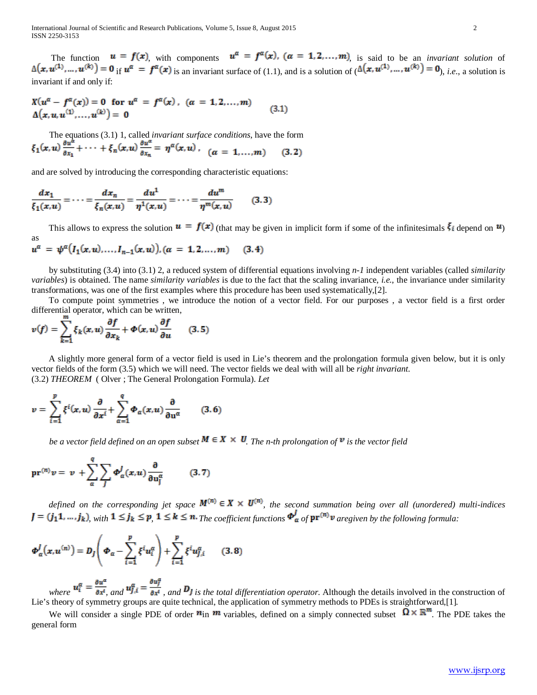The function  $u = f(x)$  with components  $u^{\alpha} = f^{\alpha}(x)$ ,  $(\alpha = 1, 2, ..., m)$ , is said to be an *invariant solution* of  $\Delta(\mathbf{x}, \mathbf{u}^{(1)}, \dots, \mathbf{u}^{(k)}) = \mathbf{0}$  if  $\mathbf{u}^{\alpha} = \mathbf{f}^{\alpha}(\mathbf{x})$  is an invariant surface of (1.1), and is a solution of  $(\Delta(\mathbf{x}, \mathbf{u}^{(1)}, \dots, \mathbf{u}^{(k)}) = \mathbf{0}$ , *i.e.*, a solution is invariant if and only if:

$$
X(u^{\alpha} - f^{\alpha}(x)) = 0 \text{ for } u^{\alpha} = f^{\alpha}(x), \quad (\alpha = 1, 2, ..., m)
$$
  
 
$$
\Delta(x, u, u^{(1)}, ..., u^{(k)}) = 0
$$
 (3.1)

 The equations (3.1) 1, called *invariant surface conditions*, have the form  $\xi_1(x,u) \frac{\partial u^{\alpha}}{\partial x_1} + \cdots + \xi_n(x,u) \frac{\partial u^{\alpha}}{\partial x_n} = \eta^{\alpha}(x,u)$ ,  $\left(\alpha = 1,\ldots,m\right)$  $(3,2)$ 

and are solved by introducing the corresponding characteristic equations:

$$
\frac{dx_1}{\xi_1(x,u)} = \dots = \frac{dx_n}{\xi_n(x,u)} = \frac{du^1}{\eta^1(x,u)} = \dots = \frac{du^m}{\eta^m(x,u)} \qquad (3.3)
$$

This allows to express the solution  $\bf{u} = f(\bf{x})$  (that may be given in implicit form if some of the infinitesimals  $\bf{\xi}$  depend on  $\bf{u}$ ) as

$$
u^{\alpha} = \psi^{\alpha}(I_1(x, u), \dots, I_{n-1}(x, u)), (\alpha = 1, 2, \dots, m) \quad (3.4)
$$

 by substituting (3.4) into (3.1) 2, a reduced system of differential equations involving *n-1* independent variables (called *similarity variables*) is obtained. The name *similarity variables* is due to the fact that the scaling invariance, *i.e.*, the invariance under similarity transformations, was one of the first examples where this procedure has been used systematically,[2].

 To compute point symmetries , we introduce the notion of a vector field. For our purposes , a vector field is a first order differential operator, which can be written,

$$
v(f) = \sum_{k=1}^{m} \xi_k(x, u) \frac{\partial f}{\partial x_k} + \Phi(x, u) \frac{\partial f}{\partial u}
$$
 (3.5)

 A slightly more general form of a vector field is used in Lie's theorem and the prolongation formula given below, but it is only vector fields of the form (3.5) which we will need. The vector fields we deal with will all be *right invariant*. (3.2) *THEOREM* ( Olver ; The General Prolongation Formula). *Let*

$$
v = \sum_{i=1}^{p} \xi^{i}(x, u) \frac{\partial}{\partial x^{i}} + \sum_{\alpha=1}^{q} \Phi_{\alpha}(x, u) \frac{\partial}{\partial u^{\alpha}}
$$
(3.6)

*be a vector field defined on an open subset*  $M \in X \times U$ . The *n*-th prolongation of  $\overline{v}$  is the vector field

$$
\mathrm{pr}^{(n)} v = v + \sum_{\alpha}^{q} \sum_{J} \Phi_{\alpha}^{J}(x, u) \frac{\partial}{\partial u_{J}^{\alpha}} \quad (3.7)
$$

*defined on the corresponding jet space*  $M^{(n)} \in X \times U^{(n)}$ , the second summation being over all (unordered) multi-indices  $J = (j_1 1, \ldots, j_k)$  with  $1 \le j_k \le p, 1 \le k \le n$ . The coefficient functions  $\Phi_{\alpha}^f$  of  ${\bf pr}^{(n)}$  v aregiven by the following formula:

$$
\boldsymbol{\Phi}_{\alpha}^{J}\big(\boldsymbol{x},\boldsymbol{u}^{(n)}\big)=\boldsymbol{D}_{J}\Bigg(\boldsymbol{\Phi}_{\alpha}-\sum_{i=1}^{p}\xi^{i}\boldsymbol{u}_{i}^{\alpha}\Bigg)+\sum_{i=1}^{p}\xi^{i}\boldsymbol{u}_{J,i}^{\alpha}\qquad(3.8)
$$

*where*  $\mathbf{a}_1 - \mathbf{a}_2$ , and  $\mathbf{a}_j = \mathbf{a}_j$ , and  $\mathbf{a}_j$  is the total differentiation operator. Although the details involved in the construction of Lie's theory of symmetry groups are quite technical, the application of symmetry methods to PDEs is straightforward,[1]*.*

We will consider a single PDE of order  $\vec{n}$  in  $\vec{m}$  variables, defined on a simply connected subset  $\vec{\Omega} \times \mathbb{R}^m$ . The PDE takes the general form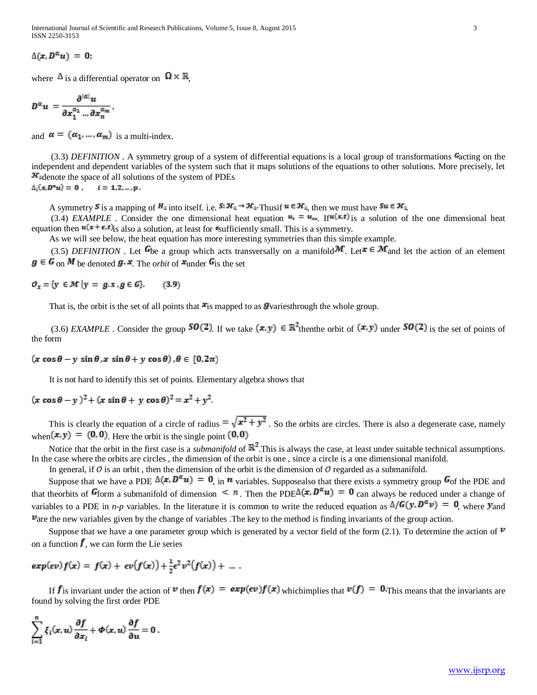International Journal of Scientific and Research Publications, Volume 5, Issue 8, August 2015 3 ISSN 2250-3153

 $\Delta(x, D^{\alpha} u) = 0;$ 

where  $\mathbf{\Delta}$  is a differential operator on  $\mathbf{\Omega} \times \mathbf{R}$ 

$$
D^{\alpha} u = \frac{\partial^{|\alpha|} u}{\partial x_1^{\alpha_1} \dots \partial x_n^{\alpha_m}},
$$

and  $\boldsymbol{\alpha} = (\boldsymbol{\alpha}_1, ..., \boldsymbol{\alpha}_m)$  is a multi-index.

(3.3) *DEFINITION*. A symmetry group of a system of differential equations is a local group of transformations **Gacting on the** independent and dependent variables of the system such that it maps solutions of the equations to other solutions. More precisely, let  $\mathbf{H}_{\text{ad}}$  adenote the space of all solutions of the system of PDEs  $\Delta_i(x, D^c u) = 0$ ,  $i = 1, 2, ..., p$ .

A symmetry **S** is a mapping of  $H_4$  into itself. i.e.  $S_4H_4 \rightarrow H_4$ . Thus if  $u \in H_4$ , then we must have  $S_4u \in H_4$ .

(3.4) *EXAMPLE*. Consider the one dimensional heat equation  $\mathbf{u}_t = \mathbf{u}_{xx}$ . If  $\mathbf{u}(\mathbf{x},t)$  is a solution of the one dimensional heat equation then  $\mathbf{u}(\mathbf{x}+\boldsymbol{\epsilon},t)$  is also a solution, at least for  $\epsilon$ sufficiently small. This is a symmetry.

As we will see below, the heat equation has more interesting symmetries than this simple example.

(3.5) *DEFINITION*. Let  $\mathbf{G}$ be a group which acts transversally on a manifold  $\mathbf{M}$ . Let  $\mathbf{F} \in \mathbf{M}$  and let the action of an element  $g \in G$  on M be denoted  $g \cdot x$ . The *orbit* of  $x$  under  $G$  is the set

$$
\mathcal{O}_x = \{ y \in \mathcal{M} \mid y = g.x, g \in G \}. \tag{3.9}
$$

That is, the orbit is the set of all points that  $\mathbf{x}_i$  mapped to as *g* variesthrough the whole group.

(3.6) *EXAMPLE*. Consider the group **SO(2)** If we take  $(x, y) \in \mathbb{R}^2$  then the orbit of  $(x, y)$  under **SO(2)** is the set of points of the form

## $(x \cos \theta - y \sin \theta, x \sin \theta + y \cos \theta), \theta \in [0, 2\pi)$

It is not hard to identify this set of points. Elementary algebra shows that

 $(x \cos \theta - y)^2 + (x \sin \theta + y \cos \theta)^2 = x^2 + y^2$ .

This is clearly the equation of a circle of radius  $= \sqrt{x^2 + y^2}$ . So the orbits are circles. There is also a degenerate case, namely when  $(\mathbf{x}, \mathbf{y}) = (0, 0)$ . Here the orbit is the single point  $(0, 0)$ 

Notice that the orbit in the first case is a *submanifold* of  $\mathbb{R}^2$ . This is always the case, at least under suitable technical assumptions. In the case where the orbits are circles , the dimension of the orbit is one , since a circle is a one dimensional manifold.

In general, if  $\mathcal O$  is an orbit, then the dimension of the orbit is the dimension of  $\mathcal O$  regarded as a submanifold.

Suppose that we have a PDE  $\Delta(x, D^{\alpha}u) = 0$ , in *n* variables. Supposealso that there exists a symmetry group  $G_0$  the PDE and that theorbits of G<sub>form</sub> a submanifold of dimension  $\leq n$ . Then the PDE $\Delta(x, D^{\alpha}u) = 0$  can always be reduced under a change of variables to a PDE in *n-p* variables. In the literature it is common to write the reduced equation as  $\Delta/G(y, D^{\alpha}v) = 0$ , where **y** and  $\mathbf{v}_{\text{are}}$  the new variables given by the change of variables. The key to the method is finding invariants of the group action.

Suppose that we have a one parameter group which is generated by a vector field of the form (2.1). To determine the action of  $\mathbb{V}$ on a function  $\mathbf{f}$ , we can form the Lie series

$$
exp(\epsilon v) f(x) = f(x) + \epsilon v(f(x)) + \frac{1}{2} \epsilon^2 v^2(f(x)) + \dots
$$

If  $f$  is invariant under the action of  $\mathbf{v}$  then  $f(\mathbf{x}) = \exp(\epsilon \mathbf{v}) f(\mathbf{x})$  whichimplies that  $\mathbf{v}(f) = \mathbf{0}$ . This means that the invariants are found by solving the first order PDE

$$
\sum_{i=1}^n \xi_i(x,u) \frac{\partial f}{\partial x_i} + \Phi(x,u) \frac{\partial f}{\partial u} = 0.
$$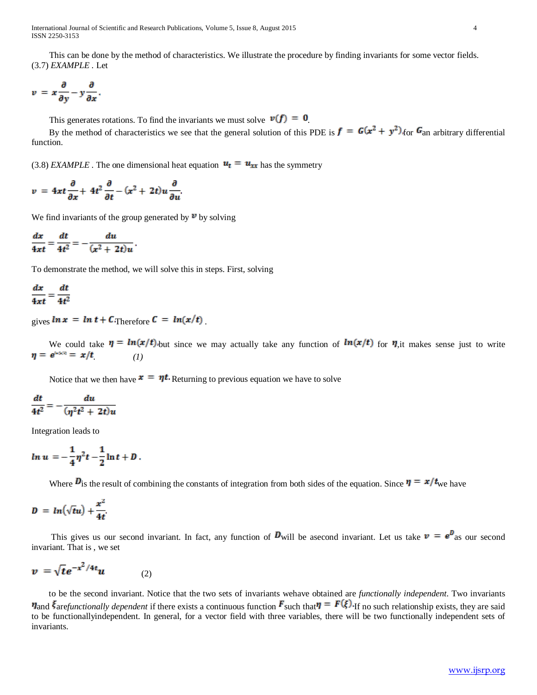International Journal of Scientific and Research Publications, Volume 5, Issue 8, August 2015 4 ISSN 2250-3153

 This can be done by the method of characteristics. We illustrate the procedure by finding invariants for some vector fields. (3.7) *EXAMPLE .* Let

$$
v = x\frac{\partial}{\partial y} - y\frac{\partial}{\partial x}.
$$

This generates rotations. To find the invariants we must solve  $\nu(f) = 0$ .

By the method of characteristics we see that the general solution of this PDE is  $\mathbf{f} = \mathbf{G}(\mathbf{x}^2 + \mathbf{y}^2)$  for  $\mathbf{G}_{an}$  arbitrary differential function.

(3.8) *EXAMPLE*. The one dimensional heat equation  $u_t = u_{xx}$  has the symmetry

$$
v = 4xt \frac{\partial}{\partial x} + 4t^2 \frac{\partial}{\partial t} - (x^2 + 2t)u \frac{\partial}{\partial u}.
$$

We find invariants of the group generated by  $\mathbb{V}$  by solving

$$
\frac{dx}{4xt}=\frac{dt}{4t^2}=-\frac{du}{(x^2+2t)u}
$$

To demonstrate the method, we will solve this in steps. First, solving

$$
\frac{dx}{4xt} = \frac{dt}{4t^2}
$$

gives  $\ln x = \ln t + C_{\text{Therefore}} C = \ln(x/t)$ 

We could take  $\eta = ln(x/t)$  but since we may actually take any function of  $ln(x/t)$  for  $\eta$ ,it makes sense just to write  $\eta = e^{i.600} = x/t$  (1)

Notice that we then have  $\mathbf{x} = \eta t$ . Returning to previous equation we have to solve

$$
\frac{dt}{4t^2} = -\frac{du}{(\eta^2t^2+2t)u}
$$

Integration leads to

$$
ln u = -\frac{1}{4}\eta^2 t - \frac{1}{2}\ln t + D.
$$

Where  $\bm{D}$  is the result of combining the constants of integration from both sides of the equation. Since  $\bm{v} = \bm{x}/t_{\text{we}}$  have

$$
D = ln(\sqrt{t}u) + \frac{x^2}{4t}.
$$

This gives us our second invariant. In fact, any function of  $\mathbf{D}_{\text{will}}$  be asecond invariant. Let us take  $v = e^{\mathbf{D}}$  as our second invariant. That is , we set

$$
v = \sqrt{t}e^{-x^2/4t}u \qquad (2)
$$

 to be the second invariant. Notice that the two sets of invariants wehave obtained are *functionally independent*. Two invariants  $\eta$  and  $\bar{\xi}$  are functionally dependent if there exists a continuous function  $\bar{F}$  such that  $\eta = F(\xi)$  if no such relationship exists, they are said to be functionallyindependent. In general, for a vector field with three variables, there will be two functionally independent sets of invariants.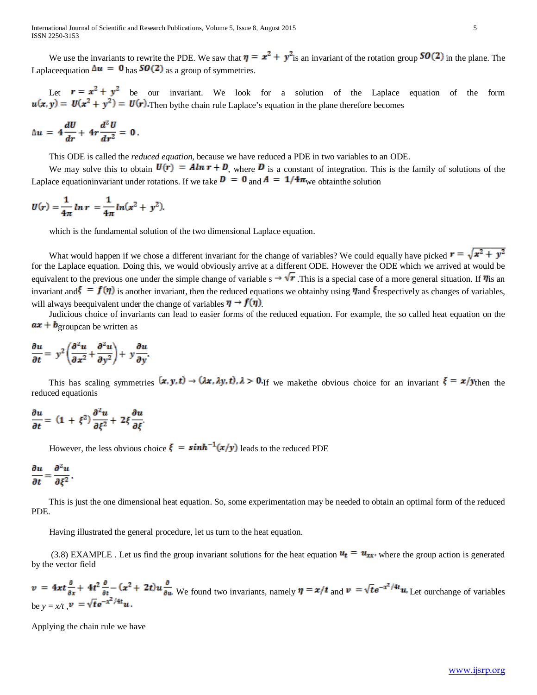We use the invariants to rewrite the PDE. We saw that  $\eta = x^2 + y^2$  is an invariant of the rotation group **SO(2)** in the plane. The Laplace equation  $\Delta u = 0$  has **SO(2)** as a group of symmetries.

Let  $r = x^2 + y^2$  be our invariant. We look for a solution of the Laplace equation of the form  $u(x, y) = U(x^2 + y^2) = U(x)$ . Then bythe chain rule Laplace's equation in the plane therefore becomes

$$
\Delta u = 4\frac{dU}{dr} + 4r\frac{d^2U}{dr^2} = 0.
$$

This ODE is called the *reduced equation*, because we have reduced a PDE in two variables to an ODE.

We may solve this to obtain  $\mathbf{U}(\mathbf{r}) = A \mathbf{ln} \mathbf{r} + \mathbf{D}$ , where  $\mathbf{D}$  is a constant of integration. This is the family of solutions of the Laplace equationinvariant under rotations. If we take  $\mathbf{D} = \mathbf{0}$  and  $\mathbf{A} = \mathbf{1}/4\pi$  we obtainthe solution

$$
U(r) = \frac{1}{4\pi} \ln r = \frac{1}{4\pi} \ln(x^2 + y^2).
$$

which is the fundamental solution of the two dimensional Laplace equation.

What would happen if we chose a different invariant for the change of variables? We could equally have picked  $\mathbf{r} = \sqrt{\mathbf{x}^2 + \mathbf{y}^2}$ for the Laplace equation. Doing this, we would obviously arrive at a different ODE. However the ODE which we arrived at would be equivalent to the previous one under the simple change of variable  $s \rightarrow \sqrt{r}$ . This is a special case of a more general situation. If  $\eta$  is an invariant and  $\mathbf{f} = \mathbf{f}(\mathbf{\eta})$  is another invariant, then the reduced equations we obtainby using  $\eta$  and  $\mathbf{\xi}$  respectively as changes of variables, will always beequivalent under the change of variables  $\eta \rightarrow f(\eta)$ .

 Judicious choice of invariants can lead to easier forms of the reduced equation. For example, the so called heat equation on the  $ax + b$ <sub>groupcan</sub> be written as

$$
\frac{\partial u}{\partial t} = y^2 \left( \frac{\partial^2 u}{\partial x^2} + \frac{\partial^2 u}{\partial y^2} \right) + y \frac{\partial u}{\partial y}.
$$

This has scaling symmetries  $(x, y, t) \rightarrow (\lambda x, \lambda y, t)$ ,  $\lambda > 0$ . If we make the obvious choice for an invariant  $\xi = x/y$  then the reduced equationis

$$
\frac{\partial u}{\partial t} = (1+\xi^2)\frac{\partial^2 u}{\partial \xi^2} + 2\xi \frac{\partial u}{\partial \xi}.
$$

However, the less obvious choice  $\xi = sinh^{-1}(x/y)$  leads to the reduced PDE

$$
\frac{\partial u}{\partial t}=\frac{\partial^2 u}{\partial \xi^2}.
$$

 This is just the one dimensional heat equation. So, some experimentation may be needed to obtain an optimal form of the reduced PDE.

Having illustrated the general procedure, let us turn to the heat equation.

(3.8) EXAMPLE. Let us find the group invariant solutions for the heat equation  $u_t = u_{xx}$ , where the group action is generated by the vector field

$$
\mathbf{v} = 4\mathbf{x}t \frac{\partial}{\partial x} + 4t^2 \frac{\partial}{\partial t} - (x^2 + 2t)u \frac{\partial}{\partial u}
$$
 We found two invariants, namely  $\mathbf{\eta} = \mathbf{x}/t$  and  $\mathbf{v} = \sqrt{t}e^{-x^2/4t}u$ . Let our change of variables be  $y = x/t$ ,  $\mathbf{v} = \sqrt{t}e^{-x^2/4t}u$ .

Applying the chain rule we have